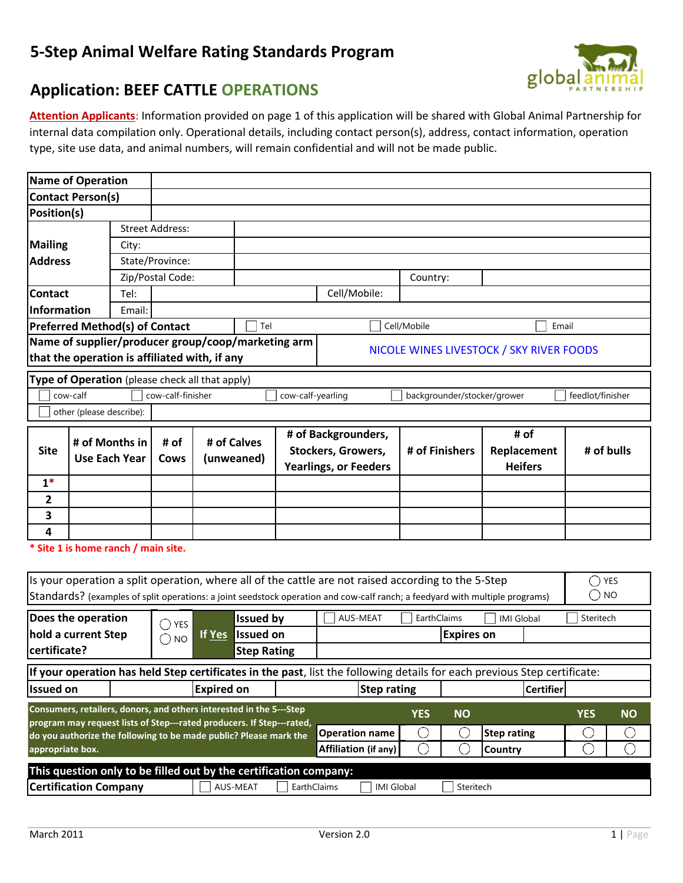## **5-Step Animal Welfare Rating Standards Program**





**Attention Applicants**: Information provided on page 1 of this application will be shared with Global Animal Partnership for internal data compilation only. Operational details, including contact person(s), address, contact information, operation type, site use data, and animal numbers, will remain confidential and will not be made public.

|                    | <b>Name of Operation</b>                                                                           |        |                        |                   |                    |                   |                                                                                                                              |                |                             |                                          |                  |           |
|--------------------|----------------------------------------------------------------------------------------------------|--------|------------------------|-------------------|--------------------|-------------------|------------------------------------------------------------------------------------------------------------------------------|----------------|-----------------------------|------------------------------------------|------------------|-----------|
|                    | <b>Contact Person(s)</b>                                                                           |        |                        |                   |                    |                   |                                                                                                                              |                |                             |                                          |                  |           |
| Position(s)        |                                                                                                    |        |                        |                   |                    |                   |                                                                                                                              |                |                             |                                          |                  |           |
|                    |                                                                                                    |        | <b>Street Address:</b> |                   |                    |                   |                                                                                                                              |                |                             |                                          |                  |           |
| <b>Mailing</b>     |                                                                                                    | City:  |                        |                   |                    |                   |                                                                                                                              |                |                             |                                          |                  |           |
| <b>Address</b>     |                                                                                                    |        | State/Province:        |                   |                    |                   |                                                                                                                              |                |                             |                                          |                  |           |
|                    |                                                                                                    |        | Zip/Postal Code:       |                   |                    |                   |                                                                                                                              | Country:       |                             |                                          |                  |           |
| <b>Contact</b>     |                                                                                                    | Tel:   |                        |                   |                    |                   | Cell/Mobile:                                                                                                                 |                |                             |                                          |                  |           |
| <b>Information</b> |                                                                                                    | Email: |                        |                   |                    |                   |                                                                                                                              |                |                             |                                          |                  |           |
|                    | <b>Preferred Method(s) of Contact</b>                                                              |        |                        |                   | Tel                |                   |                                                                                                                              | Cell/Mobile    |                             | Email                                    |                  |           |
|                    | Name of supplier/producer group/coop/marketing arm                                                 |        |                        |                   |                    |                   |                                                                                                                              |                |                             |                                          |                  |           |
|                    | that the operation is affiliated with, if any                                                      |        |                        |                   |                    |                   |                                                                                                                              |                |                             | NICOLE WINES LIVESTOCK / SKY RIVER FOODS |                  |           |
|                    | Type of Operation (please check all that apply)                                                    |        |                        |                   |                    |                   |                                                                                                                              |                |                             |                                          |                  |           |
|                    |                                                                                                    |        |                        |                   |                    | cow-calf-yearling |                                                                                                                              |                |                             |                                          | feedlot/finisher |           |
|                    | cow-calf<br>cow-calf-finisher<br>other (please describe):                                          |        |                        |                   |                    |                   |                                                                                                                              |                | backgrounder/stocker/grower |                                          |                  |           |
|                    |                                                                                                    |        |                        |                   |                    |                   |                                                                                                                              |                |                             |                                          |                  |           |
|                    | # of Months in                                                                                     |        | # of                   |                   | # of Calves        |                   | # of Backgrounders,                                                                                                          |                |                             | # of                                     |                  |           |
| <b>Site</b>        | <b>Use Each Year</b>                                                                               |        | Cows                   |                   | (unweaned)         |                   | Stockers, Growers,                                                                                                           | # of Finishers |                             | Replacement                              | # of bulls       |           |
|                    |                                                                                                    |        |                        |                   |                    |                   | <b>Yearlings, or Feeders</b>                                                                                                 |                |                             | <b>Heifers</b>                           |                  |           |
| $1*$               |                                                                                                    |        |                        |                   |                    |                   |                                                                                                                              |                |                             |                                          |                  |           |
| $\overline{2}$     |                                                                                                    |        |                        |                   |                    |                   |                                                                                                                              |                |                             |                                          |                  |           |
| 3                  |                                                                                                    |        |                        |                   |                    |                   |                                                                                                                              |                |                             |                                          |                  |           |
| 4                  |                                                                                                    |        |                        |                   |                    |                   |                                                                                                                              |                |                             |                                          |                  |           |
|                    | * Site 1 is home ranch / main site.                                                                |        |                        |                   |                    |                   |                                                                                                                              |                |                             |                                          |                  |           |
|                    |                                                                                                    |        |                        |                   |                    |                   |                                                                                                                              |                |                             |                                          |                  |           |
|                    |                                                                                                    |        |                        |                   |                    |                   | Is your operation a split operation, where all of the cattle are not raised according to the 5-Step                          |                |                             |                                          | $\bigcirc$ yes   |           |
|                    |                                                                                                    |        |                        |                   |                    |                   | Standards? (examples of split operations: a joint seedstock operation and cow-calf ranch; a feedyard with multiple programs) |                |                             |                                          | $\bigcirc$ NO    |           |
|                    | Does the operation                                                                                 |        |                        |                   |                    |                   |                                                                                                                              |                | EarthClaims                 |                                          | Steritech        |           |
|                    |                                                                                                    |        | $\bigcirc$ yes         |                   | <b>Issued by</b>   |                   | AUS-MEAT                                                                                                                     |                |                             | <b>IMI Global</b>                        |                  |           |
|                    | hold a current Step                                                                                |        | O<br><b>NO</b>         | If Yes            | <b>Issued on</b>   |                   |                                                                                                                              |                | <b>Expires on</b>           |                                          |                  |           |
| certificate?       |                                                                                                    |        |                        |                   | <b>Step Rating</b> |                   |                                                                                                                              |                |                             |                                          |                  |           |
|                    |                                                                                                    |        |                        |                   |                    |                   | If your operation has held Step certificates in the past, list the following details for each previous Step certificate:     |                |                             |                                          |                  |           |
| <b>Issued on</b>   |                                                                                                    |        |                        | <b>Expired on</b> |                    |                   | <b>Step rating</b>                                                                                                           |                |                             | <b>Certifier</b>                         |                  |           |
|                    | Consumers, retailers, donors, and others interested in the 5---Step                                |        |                        |                   |                    |                   |                                                                                                                              |                |                             |                                          |                  |           |
|                    | program may request lists of Step---rated producers. If Step---rated,                              |        |                        |                   |                    |                   |                                                                                                                              | <b>YES</b>     | <b>NO</b>                   |                                          | <b>YES</b>       | <b>NO</b> |
|                    | do you authorize the following to be made public? Please mark the                                  |        |                        |                   |                    |                   | <b>Operation name</b>                                                                                                        | ( )            | C                           | <b>Step rating</b>                       | Ċ.               | C         |
|                    | $\bigcirc$<br>$\bigcirc$<br>$\bigcirc$<br>◯<br>Affiliation (if any)<br>appropriate box.<br>Country |        |                        |                   |                    |                   |                                                                                                                              |                |                             |                                          |                  |           |
|                    | This question only to be filled out by the certification company:                                  |        |                        |                   |                    |                   |                                                                                                                              |                |                             |                                          |                  |           |
|                    | <b>Certification Company</b>                                                                       |        |                        |                   | AUS-MEAT           | EarthClaims       | <b>IMI Global</b>                                                                                                            |                | Steritech                   |                                          |                  |           |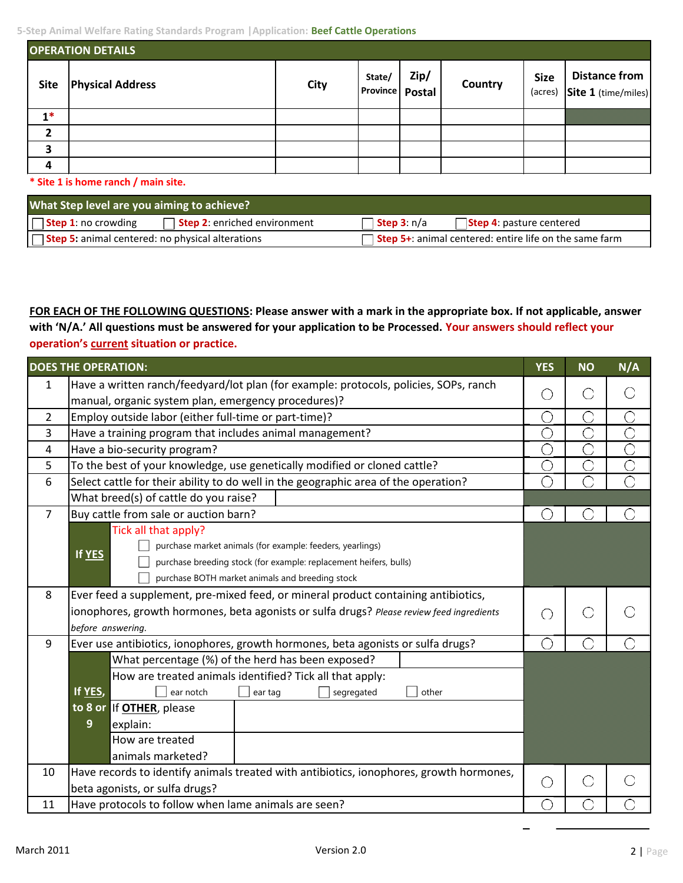| <b>OPERATION DETAILS</b> |                         |      |                                  |      |         |                        |                                             |  |  |
|--------------------------|-------------------------|------|----------------------------------|------|---------|------------------------|---------------------------------------------|--|--|
| <b>Site</b>              | <b>Physical Address</b> | City | State/<br><b>Province Postal</b> | Zip/ | Country | <b>Size</b><br>(acres) | <b>Distance from</b><br>Site 1 (time/miles) |  |  |
| $1*$                     |                         |      |                                  |      |         |                        |                                             |  |  |
| $\overline{2}$           |                         |      |                                  |      |         |                        |                                             |  |  |
| 3                        |                         |      |                                  |      |         |                        |                                             |  |  |
| 4                        |                         |      |                                  |      |         |                        |                                             |  |  |

**\* Site 1 is home ranch / main site.**

| What Step level are you aiming to achieve?                         |                                                               |  |  |  |  |  |  |  |
|--------------------------------------------------------------------|---------------------------------------------------------------|--|--|--|--|--|--|--|
| <b>Step 2:</b> enriched environment<br><b>Step 1</b> : no crowding | Step 3: n/a<br><b>Step 4:</b> pasture centered                |  |  |  |  |  |  |  |
| $\sqrt{ }$ Step 5: animal centered: no physical alterations        | <b>Step 5+:</b> animal centered: entire life on the same farm |  |  |  |  |  |  |  |

**FOR EACH OF THE FOLLOWING QUESTIONS: Please answer with a mark in the appropriate box. If not applicable, answer with 'N/A.' All questions must be answered for your application to be Processed. Your answers should reflect your operation's current situation or practice.** 

|                | <b>DOES THE OPERATION:</b>                                                                | <b>YES</b> | <b>NO</b> | N/A                   |
|----------------|-------------------------------------------------------------------------------------------|------------|-----------|-----------------------|
| 1              | Have a written ranch/feedyard/lot plan (for example: protocols, policies, SOPs, ranch     |            |           |                       |
|                | manual, organic system plan, emergency procedures)?                                       | O          |           | O                     |
| $2^{\circ}$    | Employ outside labor (either full-time or part-time)?                                     | Ο          | C         | $\overline{\bigcirc}$ |
| 3              | Have a training program that includes animal management?                                  | O          |           | $\overline{\bigcirc}$ |
| 4              | Have a bio-security program?                                                              | O          | Э         | $\overline{\bigcirc}$ |
| 5              | To the best of your knowledge, use genetically modified or cloned cattle?                 | Ō          | Õ         | $\overline{\bigcirc}$ |
| 6              | Select cattle for their ability to do well in the geographic area of the operation?       | С          |           | Ō                     |
|                | What breed(s) of cattle do you raise?                                                     |            |           |                       |
| $\overline{7}$ | Buy cattle from sale or auction barn?                                                     | ◯          |           | C                     |
|                | Tick all that apply?                                                                      |            |           |                       |
|                | purchase market animals (for example: feeders, yearlings)<br>If YES                       |            |           |                       |
|                | purchase breeding stock (for example: replacement heifers, bulls)                         |            |           |                       |
|                | purchase BOTH market animals and breeding stock                                           |            |           |                       |
| 8              | Ever feed a supplement, pre-mixed feed, or mineral product containing antibiotics,        |            |           |                       |
|                | ionophores, growth hormones, beta agonists or sulfa drugs? Please review feed ingredients | $\bigcirc$ |           |                       |
|                | before answering.                                                                         |            |           |                       |
| 9              | Ever use antibiotics, ionophores, growth hormones, beta agonists or sulfa drugs?          | ◯          |           |                       |
|                | What percentage (%) of the herd has been exposed?                                         |            |           |                       |
|                | How are treated animals identified? Tick all that apply:                                  |            |           |                       |
|                | If YES,<br>ear notch<br>other<br>segregated<br>ear tag                                    |            |           |                       |
|                | to 8 or If OTHER, please                                                                  |            |           |                       |
|                | 9<br>explain:                                                                             |            |           |                       |
|                | How are treated                                                                           |            |           |                       |
|                | animals marketed?                                                                         |            |           |                       |
| 10             | Have records to identify animals treated with antibiotics, ionophores, growth hormones,   | 0          |           |                       |
|                | beta agonists, or sulfa drugs?                                                            |            |           |                       |
| 11             | Have protocols to follow when lame animals are seen?                                      | O          |           |                       |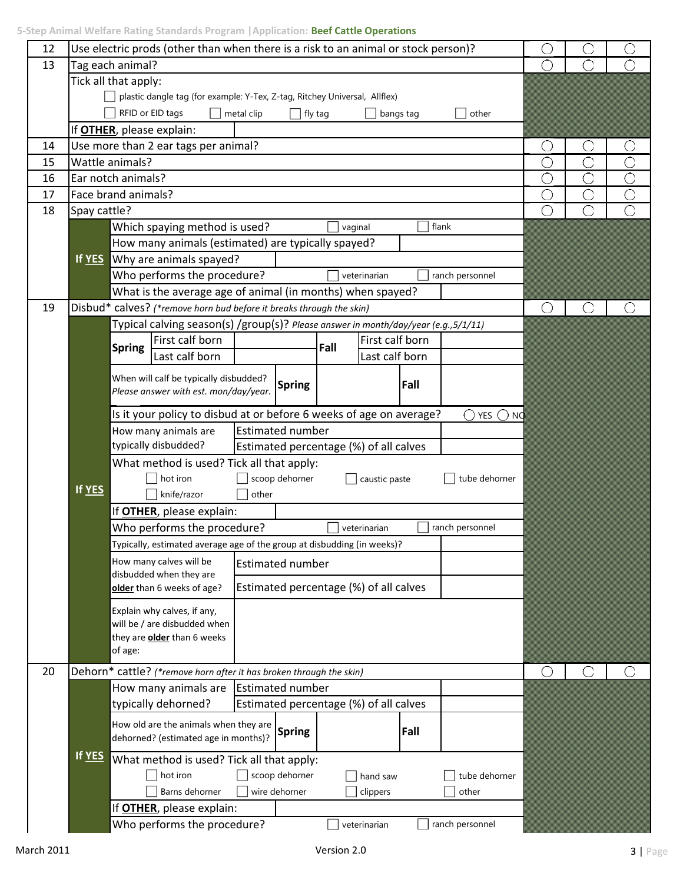| 5-Step Animal Welfare Rating Standards Program   Application: Beef Cattle Operations |  |  |  |
|--------------------------------------------------------------------------------------|--|--|--|
|--------------------------------------------------------------------------------------|--|--|--|

| 12 |              | Use electric prods (other than when there is a risk to an animal or stock person)?                  |        |   |                |
|----|--------------|-----------------------------------------------------------------------------------------------------|--------|---|----------------|
| 13 |              |                                                                                                     | ◯      |   |                |
|    |              | Tag each animal?                                                                                    |        |   |                |
|    |              | Tick all that apply:<br>plastic dangle tag (for example: Y-Tex, Z-tag, Ritchey Universal, Allflex)  |        |   |                |
|    |              | RFID or EID tags<br>metal clip<br>bangs tag<br>other                                                |        |   |                |
|    |              | fly tag                                                                                             |        |   |                |
|    |              | If <b>OTHER</b> , please explain:                                                                   |        |   |                |
| 14 |              | Use more than 2 ear tags per animal?                                                                | C      | U |                |
| 15 |              | Wattle animals?                                                                                     | С      |   |                |
| 16 |              | Ear notch animals?                                                                                  | O      |   | С              |
| 17 |              | Face brand animals?                                                                                 | С      | O | $\overline{C}$ |
| 18 | Spay cattle? |                                                                                                     | O      |   | Ō              |
|    |              | Which spaying method is used?<br>flank<br>vaginal                                                   |        |   |                |
|    |              | How many animals (estimated) are typically spayed?                                                  |        |   |                |
|    | If YES       | Why are animals spayed?                                                                             |        |   |                |
|    |              | Who performs the procedure?<br>ranch personnel<br>veterinarian                                      |        |   |                |
|    |              | What is the average age of animal (in months) when spayed?                                          |        |   |                |
| 19 |              | Disbud* calves? (*remove horn bud before it breaks through the skin)                                | ◯      |   |                |
|    |              | Typical calving season(s) /group(s)? Please answer in month/day/year (e.g., 5/1/11)                 |        |   |                |
|    |              | First calf born<br>First calf born<br>Fall<br><b>Spring</b>                                         |        |   |                |
|    |              | Last calf born<br>Last calf born                                                                    |        |   |                |
|    |              | When will calf be typically disbudded?                                                              |        |   |                |
|    |              | Fall<br><b>Spring</b><br>Please answer with est. mon/day/year.                                      |        |   |                |
|    |              | Is it your policy to disbud at or before 6 weeks of age on average?<br>$\bigcirc$ yes $\bigcirc$ nc |        |   |                |
|    |              | <b>Estimated number</b><br>How many animals are                                                     |        |   |                |
|    |              | typically disbudded?<br>Estimated percentage (%) of all calves                                      |        |   |                |
|    |              | What method is used? Tick all that apply:                                                           |        |   |                |
|    |              | scoop dehorner<br>hot iron<br>caustic paste<br>tube dehorner                                        |        |   |                |
|    | If YES       | knife/razor<br>other                                                                                |        |   |                |
|    |              |                                                                                                     |        |   |                |
|    |              | If <b>OTHER</b> , please explain:<br>veterinarian                                                   |        |   |                |
|    |              | Who performs the procedure?<br>ranch personnel                                                      |        |   |                |
|    |              | Typically, estimated average age of the group at disbudding (in weeks)?                             |        |   |                |
|    |              | How many calves will be<br><b>Estimated number</b><br>disbudded when they are                       |        |   |                |
|    |              | Estimated percentage (%) of all calves<br>older than 6 weeks of age?                                |        |   |                |
|    |              |                                                                                                     |        |   |                |
|    |              | Explain why calves, if any,<br>will be / are disbudded when                                         |        |   |                |
|    |              | they are <b>older</b> than 6 weeks                                                                  |        |   |                |
|    |              | of age:                                                                                             |        |   |                |
| 20 |              | Dehorn* cattle? (*remove horn after it has broken through the skin)                                 | $(\ )$ |   |                |
|    |              | How many animals are<br><b>Estimated number</b>                                                     |        |   |                |
|    |              | typically dehorned?<br>Estimated percentage (%) of all calves                                       |        |   |                |
|    |              |                                                                                                     |        |   |                |
|    |              | How old are the animals when they are<br><b>Spring</b><br>Fall                                      |        |   |                |
|    |              | dehorned? (estimated age in months)?                                                                |        |   |                |
|    | If YES       | What method is used? Tick all that apply:                                                           |        |   |                |
|    |              | hot iron<br>scoop dehorner<br>tube dehorner<br>hand saw                                             |        |   |                |
|    |              | Barns dehorner<br>wire dehorner<br>clippers<br>other                                                |        |   |                |
|    |              | If <b>OTHER</b> , please explain:                                                                   |        |   |                |
|    |              | Who performs the procedure?<br>ranch personnel<br>veterinarian                                      |        |   |                |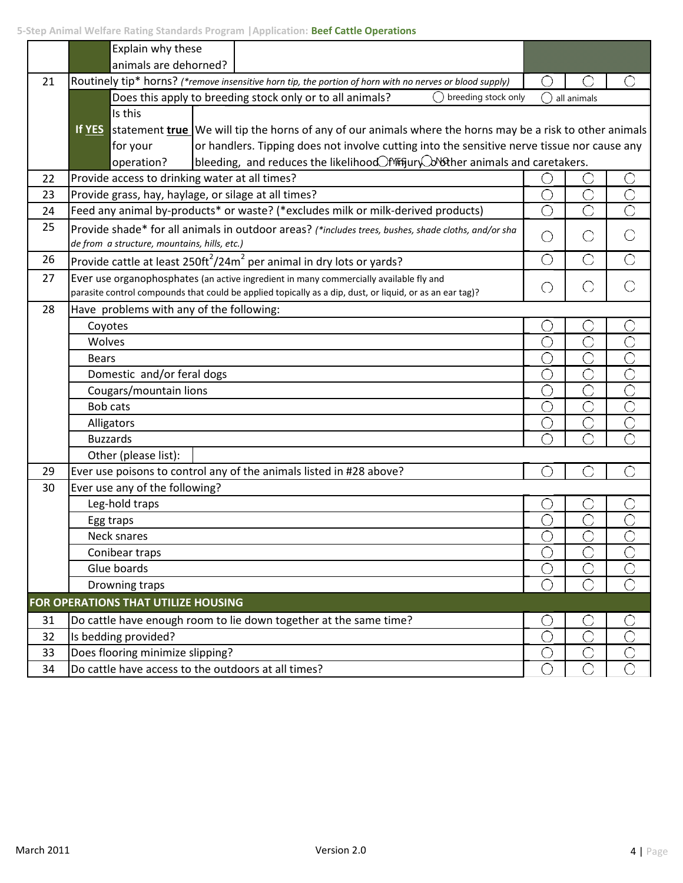|    | ətep Anılınar vvenare nating ətanuarus rrugramı pappıltatıbır. <b>Deer Cattle Operations</b><br>Explain why these                                   |            |                       |                         |  |  |  |  |  |
|----|-----------------------------------------------------------------------------------------------------------------------------------------------------|------------|-----------------------|-------------------------|--|--|--|--|--|
|    | animals are dehorned?                                                                                                                               |            |                       |                         |  |  |  |  |  |
| 21 | Routinely tip* horns? (*remove insensitive horn tip, the portion of horn with no nerves or blood supply)                                            |            |                       |                         |  |  |  |  |  |
|    | Does this apply to breeding stock only or to all animals?<br>breeding stock only                                                                    |            | all animals           |                         |  |  |  |  |  |
|    | Is this                                                                                                                                             |            |                       |                         |  |  |  |  |  |
|    | If YES statement true We will tip the horns of any of our animals where the horns may be a risk to other animals                                    |            |                       |                         |  |  |  |  |  |
|    | or handlers. Tipping does not involve cutting into the sensitive nerve tissue nor cause any<br>for your                                             |            |                       |                         |  |  |  |  |  |
|    | bleeding, and reduces the likelihood Thit Sury Lov Sther animals and caretakers.<br>operation?                                                      |            |                       |                         |  |  |  |  |  |
| 22 | Provide access to drinking water at all times?                                                                                                      |            |                       |                         |  |  |  |  |  |
| 23 | Provide grass, hay, haylage, or silage at all times?                                                                                                | O          | Ō                     | $\overline{\bigcirc}$   |  |  |  |  |  |
| 24 | Feed any animal by-products* or waste? (*excludes milk or milk-derived products)                                                                    | $\bigcirc$ | Ō                     | $\overline{\bigcirc}$   |  |  |  |  |  |
| 25 | Provide shade* for all animals in outdoor areas? (*includes trees, bushes, shade cloths, and/or sha<br>de from a structure, mountains, hills, etc.) | О          | O                     | $\bigcirc$              |  |  |  |  |  |
| 26 | Provide cattle at least 250ft <sup>2</sup> /24m <sup>2</sup> per animal in dry lots or yards?                                                       | $\bigcirc$ | $\bigcirc$            | $\bigcirc$              |  |  |  |  |  |
| 27 | Ever use organophosphates (an active ingredient in many commercially available fly and                                                              |            |                       |                         |  |  |  |  |  |
|    | parasite control compounds that could be applied topically as a dip, dust, or liquid, or as an ear tag)?                                            | $\bigcirc$ | O                     | O                       |  |  |  |  |  |
| 28 | Have problems with any of the following:                                                                                                            |            |                       |                         |  |  |  |  |  |
|    | Coyotes                                                                                                                                             | C          |                       |                         |  |  |  |  |  |
|    | Wolves                                                                                                                                              | O          | Ō                     | Ō                       |  |  |  |  |  |
|    | <b>Bears</b>                                                                                                                                        | O          | Ō                     | $\overline{\bigcirc}$   |  |  |  |  |  |
|    | Domestic and/or feral dogs                                                                                                                          | O          | $\overline{\bigcirc}$ | $\overline{\bigcirc}$   |  |  |  |  |  |
|    | Cougars/mountain lions                                                                                                                              | C          | Ō                     | $\overline{\bigcirc}$   |  |  |  |  |  |
|    | <b>Bob cats</b>                                                                                                                                     | $\bigcirc$ | Ō                     | $\overline{\mathbb{C}}$ |  |  |  |  |  |
|    | Alligators                                                                                                                                          | О          | O                     | $\overline{\bigcirc}$   |  |  |  |  |  |
|    | <b>Buzzards</b>                                                                                                                                     |            |                       | ◯                       |  |  |  |  |  |
|    | Other (please list):                                                                                                                                |            |                       |                         |  |  |  |  |  |
| 29 | Ever use poisons to control any of the animals listed in #28 above?                                                                                 |            |                       | ◯                       |  |  |  |  |  |
| 30 | Ever use any of the following?                                                                                                                      |            |                       |                         |  |  |  |  |  |
|    | Leg-hold traps                                                                                                                                      |            |                       | O                       |  |  |  |  |  |
|    | Egg traps                                                                                                                                           |            |                       |                         |  |  |  |  |  |
|    | Neck snares                                                                                                                                         |            |                       |                         |  |  |  |  |  |
|    | Conibear traps                                                                                                                                      | $\bigcirc$ | Ō                     | ○                       |  |  |  |  |  |
|    | Glue boards                                                                                                                                         | О          | С                     | C                       |  |  |  |  |  |
|    | Drowning traps                                                                                                                                      | ◯          | ◯                     | ◯                       |  |  |  |  |  |
|    | FOR OPERATIONS THAT UTILIZE HOUSING                                                                                                                 |            |                       |                         |  |  |  |  |  |
| 31 | Do cattle have enough room to lie down together at the same time?                                                                                   | O          | С                     |                         |  |  |  |  |  |
| 32 | Is bedding provided?                                                                                                                                | O          | Ō                     | $\overline{\bigcirc}$   |  |  |  |  |  |
| 33 | Does flooring minimize slipping?                                                                                                                    | О          | Ĉ                     | $\overline{\bigcirc}$   |  |  |  |  |  |
| 34 | Do cattle have access to the outdoors at all times?                                                                                                 | О          | О                     | Ō                       |  |  |  |  |  |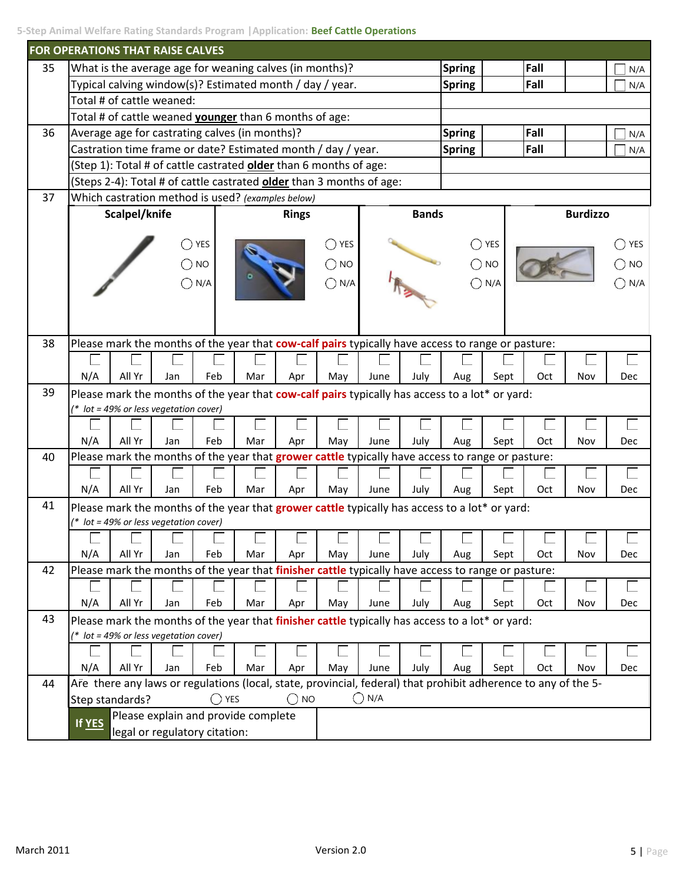| 5-Step Animal Welfare Rating Standards Program   Application: Beef Cattle Operations |  |  |
|--------------------------------------------------------------------------------------|--|--|
|--------------------------------------------------------------------------------------|--|--|

|    | FOR OPERATIONS THAT RAISE CALVES               |                 |                                                               |                |     |               |                                                                                                                |                |              |               |            |      |                 |                |
|----|------------------------------------------------|-----------------|---------------------------------------------------------------|----------------|-----|---------------|----------------------------------------------------------------------------------------------------------------|----------------|--------------|---------------|------------|------|-----------------|----------------|
| 35 |                                                |                 | What is the average age for weaning calves (in months)?       |                |     |               |                                                                                                                |                |              | <b>Spring</b> |            | Fall |                 | N/A            |
|    |                                                |                 |                                                               |                |     |               | Typical calving window(s)? Estimated month / day / year.                                                       |                |              | <b>Spring</b> |            | Fall |                 | N/A            |
|    |                                                |                 | Total # of cattle weaned:                                     |                |     |               |                                                                                                                |                |              |               |            |      |                 |                |
|    |                                                |                 | Total # of cattle weaned <b>younger</b> than 6 months of age: |                |     |               |                                                                                                                |                |              |               |            |      |                 |                |
| 36 | Average age for castrating calves (in months)? |                 |                                                               |                |     |               |                                                                                                                |                |              | <b>Spring</b> |            | Fall |                 | N/A            |
|    |                                                |                 |                                                               |                |     |               | Castration time frame or date? Estimated month / day / year.                                                   |                |              | <b>Spring</b> |            | Fall |                 | N/A            |
|    |                                                |                 |                                                               |                |     |               | (Step 1): Total # of cattle castrated older than 6 months of age:                                              |                |              |               |            |      |                 |                |
|    |                                                |                 |                                                               |                |     |               | (Steps 2-4): Total # of cattle castrated <b>older</b> than 3 months of age:                                    |                |              |               |            |      |                 |                |
| 37 |                                                |                 | Which castration method is used? (examples below)             |                |     |               |                                                                                                                |                |              |               |            |      |                 |                |
|    | Scalpel/knife<br><b>Rings</b>                  |                 |                                                               |                |     |               |                                                                                                                |                | <b>Bands</b> |               |            |      | <b>Burdizzo</b> |                |
|    |                                                |                 |                                                               |                |     |               |                                                                                                                |                |              |               |            |      |                 |                |
|    |                                                |                 |                                                               | YES            |     |               | YES                                                                                                            |                |              |               | <b>YES</b> |      |                 | $\bigcirc$ yes |
|    |                                                |                 |                                                               | <b>NO</b>      |     |               | <b>NO</b>                                                                                                      |                |              |               | <b>NO</b>  |      |                 | <b>NO</b>      |
|    |                                                |                 |                                                               | N/A            |     |               | N/A                                                                                                            |                |              |               | N/A        |      |                 | N/A            |
|    |                                                |                 |                                                               |                |     |               |                                                                                                                |                |              |               |            |      |                 |                |
|    |                                                |                 |                                                               |                |     |               |                                                                                                                |                |              |               |            |      |                 |                |
|    |                                                |                 |                                                               |                |     |               |                                                                                                                |                |              |               |            |      |                 |                |
| 38 |                                                |                 |                                                               |                |     |               | Please mark the months of the year that cow-calf pairs typically have access to range or pasture:              |                |              |               |            |      |                 |                |
|    |                                                |                 |                                                               |                |     |               |                                                                                                                |                |              |               |            |      |                 |                |
|    | N/A                                            | All Yr          | Jan                                                           | Feb            | Mar | Apr           | May                                                                                                            | June           | July         | Aug           | Sept       | Oct  | Nov             | Dec            |
| 39 |                                                |                 |                                                               |                |     |               | Please mark the months of the year that cow-calf pairs typically has access to a lot* or yard:                 |                |              |               |            |      |                 |                |
|    |                                                |                 | $*$ lot = 49% or less vegetation cover)                       |                |     |               |                                                                                                                |                |              |               |            |      |                 |                |
|    |                                                | All Yr          |                                                               |                |     |               |                                                                                                                |                |              |               |            |      |                 |                |
| 40 | N/A                                            |                 | Jan                                                           | Feb            | Mar | Apr           | May<br>Please mark the months of the year that grower cattle typically have access to range or pasture:        | June           | July         | Aug           | Sept       | Oct  | Nov             | Dec            |
|    |                                                |                 |                                                               |                |     |               |                                                                                                                |                |              |               |            |      |                 |                |
|    | N/A                                            | All Yr          | Jan                                                           | Feb            | Mar |               |                                                                                                                |                |              |               |            |      |                 |                |
| 41 |                                                |                 |                                                               |                |     | Apr           | May                                                                                                            | June           | July         | Aug           | Sept       | Oct  | Nov             | Dec            |
|    |                                                |                 | $*$ lot = 49% or less vegetation cover)                       |                |     |               | Please mark the months of the year that grower cattle typically has access to a lot* or yard:                  |                |              |               |            |      |                 |                |
|    |                                                |                 |                                                               |                |     |               |                                                                                                                |                |              |               |            |      |                 |                |
|    | N/A                                            | All Yr          | Jan                                                           | Feb            | Mar | Apr           | May                                                                                                            | June           | July         | Aug           | Sept       | Oct  | Nov             | Dec            |
| 42 |                                                |                 |                                                               |                |     |               | Please mark the months of the year that finisher cattle typically have access to range or pasture:             |                |              |               |            |      |                 |                |
|    |                                                |                 |                                                               |                |     |               |                                                                                                                |                |              |               |            |      |                 |                |
|    | N/A                                            | All Yr          | Jan                                                           | Feb            | Mar | Apr           | May                                                                                                            | June           | July         | Aug           | Sept       | Oct  | Nov             | <b>Dec</b>     |
| 43 |                                                |                 |                                                               |                |     |               | Please mark the months of the year that finisher cattle typically has access to a lot* or yard:                |                |              |               |            |      |                 |                |
|    |                                                |                 | $*$ lot = 49% or less vegetation cover)                       |                |     |               |                                                                                                                |                |              |               |            |      |                 |                |
|    |                                                |                 |                                                               |                |     |               |                                                                                                                |                |              |               |            |      |                 |                |
|    | N/A                                            | All Yr          | Jan                                                           | Feb            | Mar | Apr           | May                                                                                                            | June           | July         | Aug           | Sept       | Oct  | Nov             | <b>Dec</b>     |
| 44 |                                                |                 |                                                               |                |     |               | Are there any laws or regulations (local, state, provincial, federal) that prohibit adherence to any of the 5- |                |              |               |            |      |                 |                |
|    |                                                | Step standards? |                                                               | $\bigcirc$ YES |     | $\bigcirc$ NO |                                                                                                                | $\bigcirc$ N/A |              |               |            |      |                 |                |
|    |                                                |                 | Please explain and provide complete                           |                |     |               |                                                                                                                |                |              |               |            |      |                 |                |
|    | If YES                                         |                 | legal or regulatory citation:                                 |                |     |               |                                                                                                                |                |              |               |            |      |                 |                |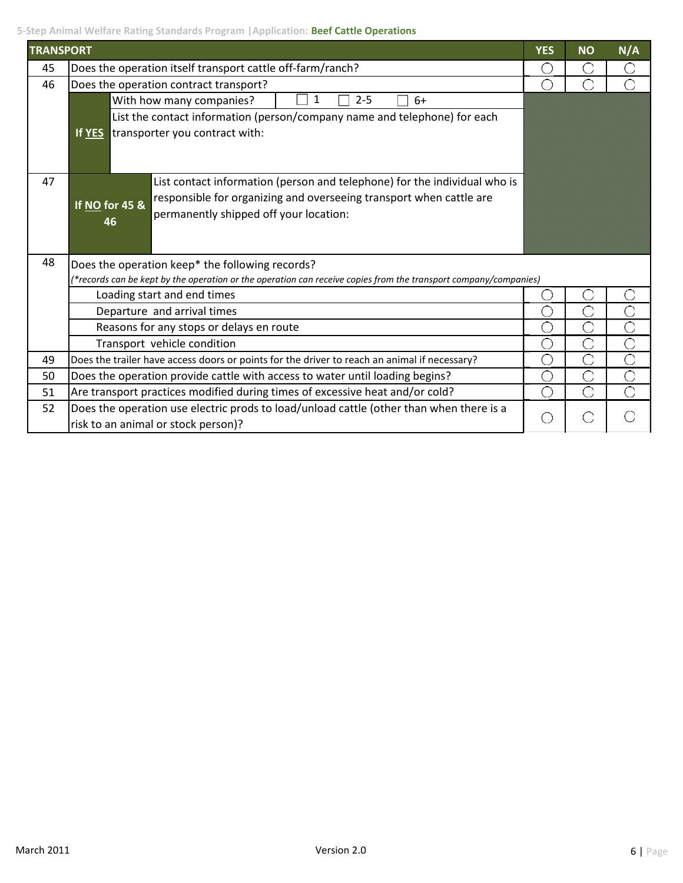**5-Step Animal Welfare Rating Standards Program |Application: Beef Cattle Operations**

| <b>TRANSPORT</b> |                                                                                                                                | <b>YES</b>    | <b>NO</b> | N/A |  |  |  |
|------------------|--------------------------------------------------------------------------------------------------------------------------------|---------------|-----------|-----|--|--|--|
| 45               | Does the operation itself transport cattle off-farm/ranch?                                                                     | ( )           |           | O   |  |  |  |
| 46               | Does the operation contract transport?                                                                                         |               |           |     |  |  |  |
|                  | With how many companies?<br>$2 - 5$<br>$6+$                                                                                    |               |           |     |  |  |  |
|                  | List the contact information (person/company name and telephone) for each                                                      |               |           |     |  |  |  |
|                  | If YES transporter you contract with:                                                                                          |               |           |     |  |  |  |
| 47               | List contact information (person and telephone) for the individual who is                                                      |               |           |     |  |  |  |
|                  | responsible for organizing and overseeing transport when cattle are                                                            |               |           |     |  |  |  |
|                  | If NO for 45 &<br>permanently shipped off your location:                                                                       |               |           |     |  |  |  |
|                  | 46                                                                                                                             |               |           |     |  |  |  |
| 48               | Does the operation keep* the following records?                                                                                |               |           |     |  |  |  |
|                  | (*records can be kept by the operation or the operation can receive copies from the transport company/companies)               |               |           |     |  |  |  |
|                  | Loading start and end times                                                                                                    |               |           |     |  |  |  |
|                  | Departure and arrival times                                                                                                    |               |           |     |  |  |  |
|                  | Reasons for any stops or delays en route                                                                                       | $\mathcal{L}$ |           | ○   |  |  |  |
|                  | Transport vehicle condition                                                                                                    | $(\ )$        | ◯         | O   |  |  |  |
| 49               | Does the trailer have access doors or points for the driver to reach an animal if necessary?                                   | ◯             | C         | O   |  |  |  |
| 50               | Does the operation provide cattle with access to water until loading begins?                                                   | O             | ◯         | Ō   |  |  |  |
| 51               | ◯<br>Are transport practices modified during times of excessive heat and/or cold?<br>∩                                         |               |           |     |  |  |  |
| 52               | Does the operation use electric prods to load/unload cattle (other than when there is a<br>risk to an animal or stock person)? | $(\ \ )$      |           |     |  |  |  |